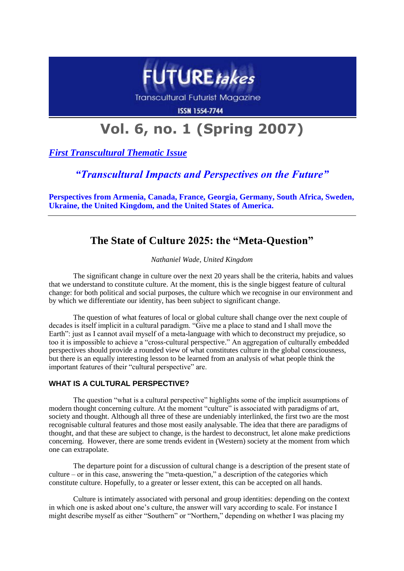

**Transcultural Futurist Magazine** 

**ISSN 1554-7744** 

# **Vol. 6, no. 1 (Spring 2007)**

*First Transcultural Thematic Issue*

*"Transcultural Impacts and Perspectives on the Future"*

**Perspectives from Armenia, Canada, France, Georgia, Germany, South Africa, Sweden, Ukraine, the United Kingdom, and the United States of America.**

# **The State of Culture 2025: the "Meta-Question"**

*Nathaniel Wade, United Kingdom*

The significant change in culture over the next 20 years shall be the criteria, habits and values that we understand to constitute culture. At the moment, this is the single biggest feature of cultural change: for both political and social purposes, the culture which we recognise in our environment and by which we differentiate our identity, has been subject to significant change.

The question of what features of local or global culture shall change over the next couple of decades is itself implicit in a cultural paradigm. "Give me a place to stand and I shall move the Earth": just as I cannot avail myself of a meta-language with which to deconstruct my prejudice, so too it is impossible to achieve a "cross-cultural perspective." An aggregation of culturally embedded perspectives should provide a rounded view of what constitutes culture in the global consciousness, but there is an equally interesting lesson to be learned from an analysis of what people think the important features of their "cultural perspective" are.

# **WHAT IS A CULTURAL PERSPECTIVE?**

The question "what is a cultural perspective" highlights some of the implicit assumptions of modern thought concerning culture. At the moment "culture" is associated with paradigms of art, society and thought. Although all three of these are undeniably interlinked, the first two are the most recognisable cultural features and those most easily analysable. The idea that there are paradigms of thought, and that these are subject to change, is the hardest to deconstruct, let alone make predictions concerning. However, there are some trends evident in (Western) society at the moment from which one can extrapolate.

The departure point for a discussion of cultural change is a description of the present state of culture – or in this case, answering the "meta-question," a description of the categories which constitute culture. Hopefully, to a greater or lesser extent, this can be accepted on all hands.

Culture is intimately associated with personal and group identities: depending on the context in which one is asked about one's culture, the answer will vary according to scale. For instance I might describe myself as either "Southern" or "Northern," depending on whether I was placing my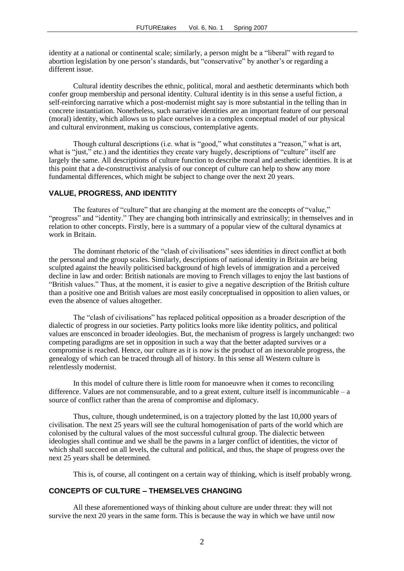identity at a national or continental scale; similarly, a person might be a "liberal" with regard to abortion legislation by one person's standards, but "conservative" by another's or regarding a different issue.

Cultural identity describes the ethnic, political, moral and aesthetic determinants which both confer group membership and personal identity. Cultural identity is in this sense a useful fiction, a self-reinforcing narrative which a post-modernist might say is more substantial in the telling than in concrete instantiation. Nonetheless, such narrative identities are an important feature of our personal (moral) identity, which allows us to place ourselves in a complex conceptual model of our physical and cultural environment, making us conscious, contemplative agents.

Though cultural descriptions (i.e. what is "good," what constitutes a "reason," what is art, what is "just," etc.) and the identities they create vary hugely, descriptions of "culture" itself are largely the same. All descriptions of culture function to describe moral and aesthetic identities. It is at this point that a de-constructivist analysis of our concept of culture can help to show any more fundamental differences, which might be subject to change over the next 20 years.

### **VALUE, PROGRESS, AND IDENTITY**

The features of "culture" that are changing at the moment are the concepts of "value," "progress" and "identity." They are changing both intrinsically and extrinsically; in themselves and in relation to other concepts. Firstly, here is a summary of a popular view of the cultural dynamics at work in Britain.

The dominant rhetoric of the "clash of civilisations" sees identities in direct conflict at both the personal and the group scales. Similarly, descriptions of national identity in Britain are being sculpted against the heavily politicised background of high levels of immigration and a perceived decline in law and order: British nationals are moving to French villages to enjoy the last bastions of "British values." Thus, at the moment, it is easier to give a negative description of the British culture than a positive one and British values are most easily conceptualised in opposition to alien values, or even the absence of values altogether.

The "clash of civilisations" has replaced political opposition as a broader description of the dialectic of progress in our societies. Party politics looks more like identity politics, and political values are ensconced in broader ideologies. But, the mechanism of progress is largely unchanged: two competing paradigms are set in opposition in such a way that the better adapted survives or a compromise is reached. Hence, our culture as it is now is the product of an inexorable progress, the genealogy of which can be traced through all of history. In this sense all Western culture is relentlessly modernist.

In this model of culture there is little room for manoeuvre when it comes to reconciling difference. Values are not commensurable, and to a great extent, culture itself is incommunicable – a source of conflict rather than the arena of compromise and diplomacy.

Thus, culture, though undetermined, is on a trajectory plotted by the last 10,000 years of civilisation. The next 25 years will see the cultural homogenisation of parts of the world which are colonised by the cultural values of the most successful cultural group. The dialectic between ideologies shall continue and we shall be the pawns in a larger conflict of identities, the victor of which shall succeed on all levels, the cultural and political, and thus, the shape of progress over the next 25 years shall be determined.

This is, of course, all contingent on a certain way of thinking, which is itself probably wrong.

#### **CONCEPTS OF CULTURE – THEMSELVES CHANGING**

All these aforementioned ways of thinking about culture are under threat: they will not survive the next 20 years in the same form. This is because the way in which we have until now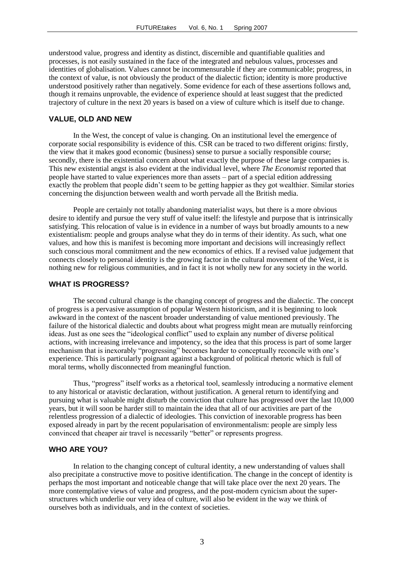understood value, progress and identity as distinct, discernible and quantifiable qualities and processes, is not easily sustained in the face of the integrated and nebulous values, processes and identities of globalisation. Values cannot be incommensurable if they are communicable; progress, in the context of value, is not obviously the product of the dialectic fiction; identity is more productive understood positively rather than negatively. Some evidence for each of these assertions follows and, though it remains unprovable, the evidence of experience should at least suggest that the predicted trajectory of culture in the next 20 years is based on a view of culture which is itself due to change.

#### **VALUE, OLD AND NEW**

In the West, the concept of value is changing. On an institutional level the emergence of corporate social responsibility is evidence of this. CSR can be traced to two different origins: firstly, the view that it makes good economic (business) sense to pursue a socially responsible course; secondly, there is the existential concern about what exactly the purpose of these large companies is. This new existential angst is also evident at the individual level, where *The Economist* reported that people have started to value experiences more than assets – part of a special edition addressing exactly the problem that people didn't seem to be getting happier as they got wealthier. Similar stories concerning the disjunction between wealth and worth pervade all the British media.

People are certainly not totally abandoning materialist ways, but there is a more obvious desire to identify and pursue the very stuff of value itself: the lifestyle and purpose that is intrinsically satisfying. This relocation of value is in evidence in a number of ways but broadly amounts to a new existentialism: people and groups analyse what they do in terms of their identity. As such, what one values, and how this is manifest is becoming more important and decisions will increasingly reflect such conscious moral commitment and the new economics of ethics. If a revised value judgement that connects closely to personal identity is the growing factor in the cultural movement of the West, it is nothing new for religious communities, and in fact it is not wholly new for any society in the world.

#### **WHAT IS PROGRESS?**

The second cultural change is the changing concept of progress and the dialectic. The concept of progress is a pervasive assumption of popular Western historicism, and it is beginning to look awkward in the context of the nascent broader understanding of value mentioned previously. The failure of the historical dialectic and doubts about what progress might mean are mutually reinforcing ideas. Just as one sees the "ideological conflict" used to explain any number of diverse political actions, with increasing irrelevance and impotency, so the idea that this process is part of some larger mechanism that is inexorably "progressing" becomes harder to conceptually reconcile with one's experience. This is particularly poignant against a background of political rhetoric which is full of moral terms, wholly disconnected from meaningful function.

Thus, "progress" itself works as a rhetorical tool, seamlessly introducing a normative element to any historical or atavistic declaration, without justification. A general return to identifying and pursuing what is valuable might disturb the conviction that culture has progressed over the last 10,000 years, but it will soon be harder still to maintain the idea that all of our activities are part of the relentless progression of a dialectic of ideologies. This conviction of inexorable progress has been exposed already in part by the recent popularisation of environmentalism: people are simply less convinced that cheaper air travel is necessarily "better" or represents progress.

## **WHO ARE YOU?**

In relation to the changing concept of cultural identity, a new understanding of values shall also precipitate a constructive move to positive identification. The change in the concept of identity is perhaps the most important and noticeable change that will take place over the next 20 years. The more contemplative views of value and progress, and the post-modern cynicism about the superstructures which underlie our very idea of culture, will also be evident in the way we think of ourselves both as individuals, and in the context of societies.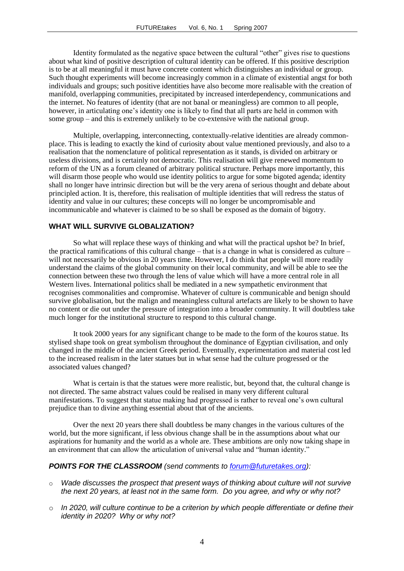Identity formulated as the negative space between the cultural "other" gives rise to questions about what kind of positive description of cultural identity can be offered. If this positive description is to be at all meaningful it must have concrete content which distinguishes an individual or group. Such thought experiments will become increasingly common in a climate of existential angst for both individuals and groups; such positive identities have also become more realisable with the creation of manifold, overlapping communities, precipitated by increased interdependency, communications and the internet. No features of identity (that are not banal or meaningless) are common to all people, however, in articulating one's identity one is likely to find that all parts are held in common with some group – and this is extremely unlikely to be co-extensive with the national group.

Multiple, overlapping, interconnecting, contextually-relative identities are already commonplace. This is leading to exactly the kind of curiosity about value mentioned previously, and also to a realisation that the nomenclature of political representation as it stands, is divided on arbitrary or useless divisions, and is certainly not democratic. This realisation will give renewed momentum to reform of the UN as a forum cleaned of arbitrary political structure. Perhaps more importantly, this will disarm those people who would use identity politics to argue for some bigoted agenda; identity shall no longer have intrinsic direction but will be the very arena of serious thought and debate about principled action. It is, therefore, this realisation of multiple identities that will redress the status of identity and value in our cultures; these concepts will no longer be uncompromisable and incommunicable and whatever is claimed to be so shall be exposed as the domain of bigotry.

# **WHAT WILL SURVIVE GLOBALIZATION?**

So what will replace these ways of thinking and what will the practical upshot be? In brief, the practical ramifications of this cultural change – that is a change in what is considered as culture – will not necessarily be obvious in 20 years time. However, I do think that people will more readily understand the claims of the global community on their local community, and will be able to see the connection between these two through the lens of value which will have a more central role in all Western lives. International politics shall be mediated in a new sympathetic environment that recognises commonalities and compromise. Whatever of culture is communicable and benign should survive globalisation, but the malign and meaningless cultural artefacts are likely to be shown to have no content or die out under the pressure of integration into a broader community. It will doubtless take much longer for the institutional structure to respond to this cultural change.

It took 2000 years for any significant change to be made to the form of the kouros statue. Its stylised shape took on great symbolism throughout the dominance of Egyptian civilisation, and only changed in the middle of the ancient Greek period. Eventually, experimentation and material cost led to the increased realism in the later statues but in what sense had the culture progressed or the associated values changed?

What is certain is that the statues were more realistic, but, beyond that, the cultural change is not directed. The same abstract values could be realised in many very different cultural manifestations. To suggest that statue making had progressed is rather to reveal one's own cultural prejudice than to divine anything essential about that of the ancients.

Over the next 20 years there shall doubtless be many changes in the various cultures of the world, but the more significant, if less obvious change shall be in the assumptions about what our aspirations for humanity and the world as a whole are. These ambitions are only now taking shape in an environment that can allow the articulation of universal value and "human identity."

#### *POINTS FOR THE CLASSROOM (send comments to [forum@futuretakes.org\)](mailto:forum@futuretakes.org):*

- o *Wade discusses the prospect that present ways of thinking about culture will not survive the next 20 years, at least not in the same form. Do you agree, and why or why not?*
- o *In 2020, will culture continue to be a criterion by which people differentiate or define their identity in 2020? Why or why not?*